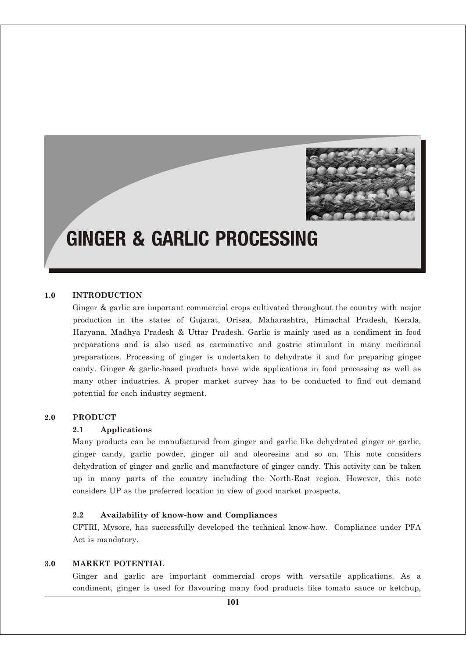

# GINGER & GARLIC PROCESSING

#### **1.0 INTRODUCTION**

Ginger & garlic are important commercial crops cultivated throughout the country with major production in the states of Gujarat, Orissa, Maharashtra, Himachal Pradesh, Kerala, Haryana, Madhya Pradesh & Uttar Pradesh. Garlic is mainly used as a condiment in food preparations and is also used as carminative and gastric stimulant in many medicinal preparations. Processing of ginger is undertaken to dehydrate it and for preparing ginger candy. Ginger & garlic-based products have wide applications in food processing as well as many other industries. A proper market survey has to be conducted to find out demand potential for each industry segment.

#### **2.0 PRODUCT**

#### **2.1 Applications**

Many products can be manufactured from ginger and garlic like dehydrated ginger or garlic, ginger candy, garlic powder, ginger oil and oleoresins and so on. This note considers dehydration of ginger and garlic and manufacture of ginger candy. This activity can be taken up in many parts of the country including the North-East region. However, this note considers UP as the preferred location in view of good market prospects.

#### **2.2 Availability of know-how and Compliances**

CFTRI, Mysore, has successfully developed the technical know-how. Compliance under PFA Act is mandatory.

## **3.0 MARKET POTENTIAL**

Ginger and garlic are important commercial crops with versatile applications. As a condiment, ginger is used for flavouring many food products like tomato sauce or ketchup,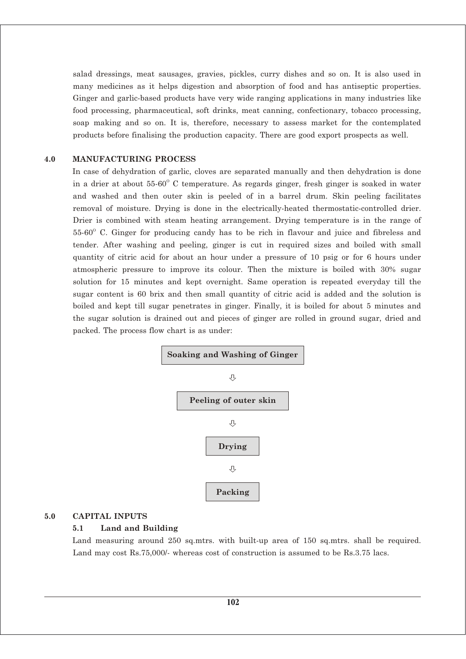salad dressings, meat sausages, gravies, pickles, curry dishes and so on. It is also used in many medicines as it helps digestion and absorption of food and has antiseptic properties. Ginger and garlic-based products have very wide ranging applications in many industries like food processing, pharmaceutical, soft drinks, meat canning, confectionary, tobacco processing, soap making and so on. It is, therefore, necessary to assess market for the contemplated products before finalising the production capacity. There are good export prospects as well.

#### **4.0 MANUFACTURING PROCESS**

In case of dehydration of garlic, cloves are separated manually and then dehydration is done in a drier at about  $55{\text -}60^{\circ}$  C temperature. As regards ginger, fresh ginger is soaked in water and washed and then outer skin is peeled of in a barrel drum. Skin peeling facilitates removal of moisture. Drying is done in the electrically-heated thermostatic-controlled drier. Drier is combined with steam heating arrangement. Drying temperature is in the range of  $55-60^{\circ}$  C. Ginger for producing candy has to be rich in flavour and juice and fibreless and tender. After washing and peeling, ginger is cut in required sizes and boiled with small quantity of citric acid for about an hour under a pressure of 10 psig or for 6 hours under atmospheric pressure to improve its colour. Then the mixture is boiled with 30% sugar solution for 15 minutes and kept overnight. Same operation is repeated everyday till the sugar content is 60 brix and then small quantity of citric acid is added and the solution is boiled and kept till sugar penetrates in ginger. Finally, it is boiled for about 5 minutes and the sugar solution is drained out and pieces of ginger are rolled in ground sugar, dried and packed. The process flow chart is as under:



## **5.0 CAPITAL INPUTS**

#### **5.1 Land and Building**

Land measuring around 250 sq.mtrs. with built-up area of 150 sq.mtrs. shall be required. Land may cost Rs.75,000/- whereas cost of construction is assumed to be Rs.3.75 lacs.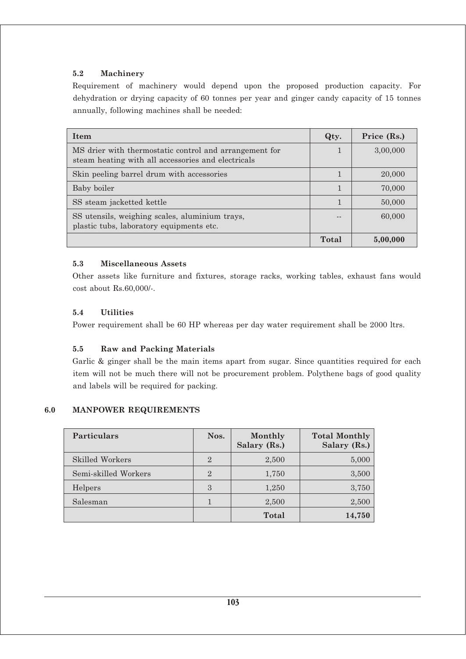## **5.2 Machinery**

Requirement of machinery would depend upon the proposed production capacity. For dehydration or drying capacity of 60 tonnes per year and ginger candy capacity of 15 tonnes annually, following machines shall be needed:

| <b>Item</b>                                                                                                  | Qty.  | Price (Rs.) |
|--------------------------------------------------------------------------------------------------------------|-------|-------------|
| MS drier with thermostatic control and arrangement for<br>steam heating with all accessories and electricals |       | 3,00,000    |
| Skin peeling barrel drum with accessories                                                                    |       | 20,000      |
| Baby boiler                                                                                                  |       | 70,000      |
| SS steam jacketted kettle                                                                                    |       | 50,000      |
| SS utensils, weighing scales, aluminium trays,<br>plastic tubs, laboratory equipments etc.                   |       | 60,000      |
|                                                                                                              | Total | 5,00,000    |

## **5.3 Miscellaneous Assets**

Other assets like furniture and fixtures, storage racks, working tables, exhaust fans would cost about Rs.60,000/-.

## **5.4 Utilities**

Power requirement shall be 60 HP whereas per day water requirement shall be 2000 ltrs.

## **5.5 Raw and Packing Materials**

Garlic & ginger shall be the main items apart from sugar. Since quantities required for each item will not be much there will not be procurement problem. Polythene bags of good quality and labels will be required for packing.

## **6.0 MANPOWER REQUIREMENTS**

| <b>Particulars</b>   | Nos.           | Monthly<br>Salary (Rs.) | <b>Total Monthly</b><br>Salary (Rs.) |
|----------------------|----------------|-------------------------|--------------------------------------|
| Skilled Workers      | $\overline{2}$ | 2,500                   | 5,000                                |
| Semi-skilled Workers | $\overline{2}$ | 1,750                   | 3,500                                |
| Helpers              | 3              | 1,250                   | 3,750                                |
| Salesman             |                | 2,500                   | 2,500                                |
|                      |                | Total                   | 14,750                               |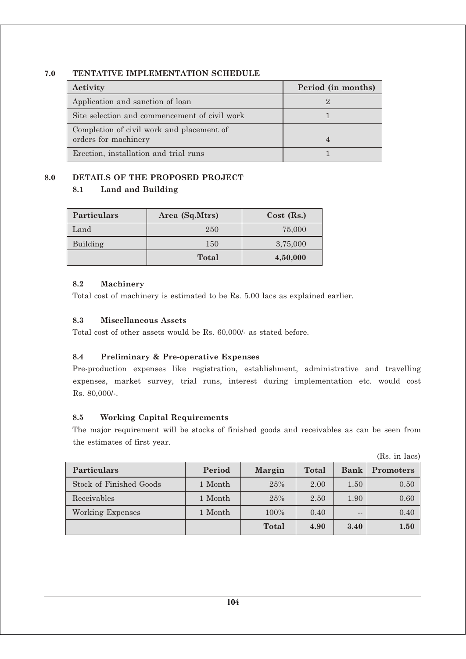## **7.0 TENTATIVE IMPLEMENTATION SCHEDULE**

| Activity                                                          | Period (in months) |
|-------------------------------------------------------------------|--------------------|
| Application and sanction of loan                                  |                    |
| Site selection and commencement of civil work                     |                    |
| Completion of civil work and placement of<br>orders for machinery |                    |
| Erection, installation and trial runs                             |                    |

# **8.0 DETAILS OF THE PROPOSED PROJECT**

# **8.1 Land and Building**

| <b>Particulars</b> | Area (Sq.Mtrs) | $Cost$ (Rs.) |
|--------------------|----------------|--------------|
| Land               | 250            | 75,000       |
| Building           | 150            | 3,75,000     |
|                    | <b>Total</b>   | 4,50,000     |

## **8.2 Machinery**

Total cost of machinery is estimated to be Rs. 5.00 lacs as explained earlier.

## **8.3 Miscellaneous Assets**

Total cost of other assets would be Rs. 60,000/- as stated before.

## **8.4 Preliminary & Pre-operative Expenses**

Pre-production expenses like registration, establishment, administrative and travelling expenses, market survey, trial runs, interest during implementation etc. would cost Rs. 80,000/-.

## **8.5 Working Capital Requirements**

The major requirement will be stocks of finished goods and receivables as can be seen from the estimates of first year.

|                         |         |        |              |             | (Rs. in lacs)    |
|-------------------------|---------|--------|--------------|-------------|------------------|
| <b>Particulars</b>      | Period  | Margin | <b>Total</b> | <b>Bank</b> | <b>Promoters</b> |
| Stock of Finished Goods | 1 Month | 25%    | 2.00         | 1.50        | 0.50             |
| Receivables             | 1 Month | 25%    | 2.50         | 1.90        | 0.60             |
| Working Expenses        | 1 Month | 100%   | 0.40         | $- -$       | 0.40             |
|                         |         | Total  | 4.90         | 3.40        | 1.50             |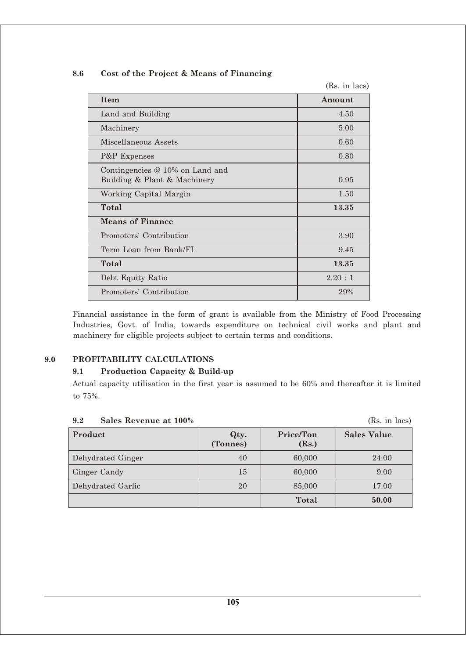| 8.6 |  |  |  | Cost of the Project & Means of Financing |  |
|-----|--|--|--|------------------------------------------|--|
|-----|--|--|--|------------------------------------------|--|

(Rs. in lacs)

| <b>Item</b>                                                       | Amount |
|-------------------------------------------------------------------|--------|
| Land and Building                                                 | 4.50   |
| Machinery                                                         | 5.00   |
| Miscellaneous Assets                                              | 0.60   |
| <b>P&amp;P</b> Expenses                                           | 0.80   |
| Contingencies $@10\%$ on Land and<br>Building & Plant & Machinery | 0.95   |
| Working Capital Margin                                            | 1.50   |
| Total                                                             | 13.35  |
| <b>Means of Finance</b>                                           |        |
| Promoters' Contribution                                           | 3.90   |
| Term Loan from Bank/FI                                            | 9.45   |
| Total                                                             | 13.35  |
| Debt Equity Ratio                                                 | 2.20:1 |
| Promoters' Contribution                                           | 29%    |

Financial assistance in the form of grant is available from the Ministry of Food Processing Industries, Govt. of India, towards expenditure on technical civil works and plant and machinery for eligible projects subject to certain terms and conditions.

## **9.0 PROFITABILITY CALCULATIONS**

## **9.1 Production Capacity & Build-up**

Actual capacity utilisation in the first year is assumed to be 60% and thereafter it is limited to 75%.

| ---               |                  |                    | 100.1111000/       |
|-------------------|------------------|--------------------|--------------------|
| Product           | Qty.<br>(Tonnes) | Price/Ton<br>(Rs.) | <b>Sales Value</b> |
| Dehydrated Ginger | 40               | 60,000             | 24.00              |
| Ginger Candy      | 15               | 60,000             | 9.00               |
| Dehydrated Garlic | 20               | 85,000             | 17.00              |
|                   |                  | Total              | 50.00              |

#### **9.2 Sales Revenue at 100%** (Rs. in lacs)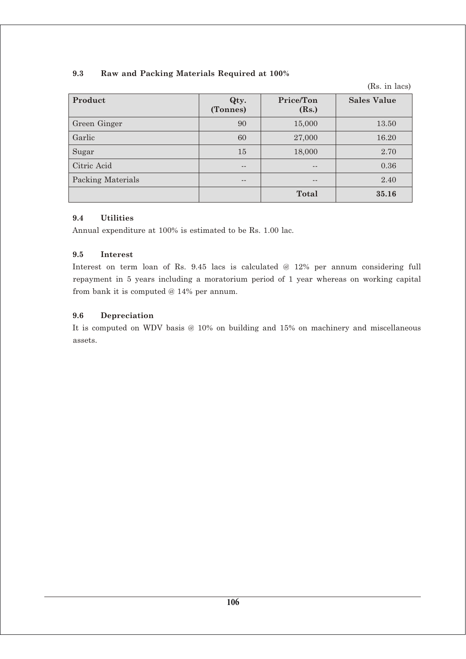## **9.3 Raw and Packing Materials Required at 100%**

(Rs. in lacs)

| Product                  | Qty.<br>(Tonnes) | Price/Ton<br>(Rs.) | <b>Sales Value</b> |
|--------------------------|------------------|--------------------|--------------------|
| Green Ginger             | 90               | 15,000             | 13.50              |
| Garlic                   | 60               | 27,000             | 16.20              |
| Sugar                    | 15               | 18,000             | 2.70               |
| Citric Acid              | --               | $- -$              | 0.36               |
| <b>Packing Materials</b> | --               | --                 | 2.40               |
|                          |                  | Total              | 35.16              |

## **9.4 Utilities**

Annual expenditure at 100% is estimated to be Rs. 1.00 lac.

## **9.5 Interest**

Interest on term loan of Rs. 9.45 lacs is calculated @ 12% per annum considering full repayment in 5 years including a moratorium period of 1 year whereas on working capital from bank it is computed @ 14% per annum.

## **9.6 Depreciation**

It is computed on WDV basis @ 10% on building and 15% on machinery and miscellaneous assets.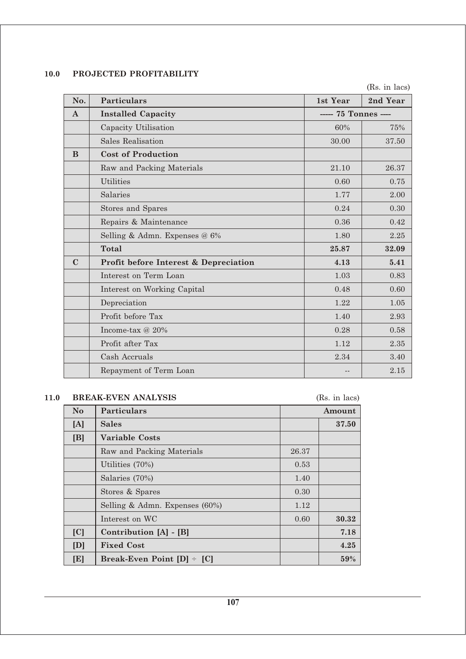# **10.0 PROJECTED PROFITABILITY**

(Rs. in lacs)

| No.         | <b>Particulars</b>                    | 1st Year             | 2nd Year |
|-------------|---------------------------------------|----------------------|----------|
| $\bf{A}$    | <b>Installed Capacity</b>             | ----- 75 Tonnes ---- |          |
|             | Capacity Utilisation                  | 60%                  | 75%      |
|             | <b>Sales Realisation</b>              | 30.00                | 37.50    |
| B           | <b>Cost of Production</b>             |                      |          |
|             | Raw and Packing Materials             | 21.10                | 26.37    |
|             | <b>Utilities</b>                      | 0.60                 | 0.75     |
|             | Salaries                              | 1.77                 | 2.00     |
|             | <b>Stores and Spares</b>              | 0.24                 | 0.30     |
|             | Repairs & Maintenance                 | 0.36                 | 0.42     |
|             | Selling & Admn. Expenses @ 6%         | 1.80                 | 2.25     |
|             | <b>Total</b>                          | 25.87                | 32.09    |
| $\mathbf C$ | Profit before Interest & Depreciation | 4.13                 | 5.41     |
|             | Interest on Term Loan                 | 1.03                 | 0.83     |
|             | Interest on Working Capital           | 0.48                 | 0.60     |
|             | Depreciation                          | 1.22                 | 1.05     |
|             | Profit before Tax                     | 1.40                 | 2.93     |
|             | Income-tax @ 20%                      | 0.28                 | 0.58     |
|             | Profit after Tax                      | 1.12                 | 2.35     |
|             | Cash Accruals                         | 2.34                 | 3.40     |
|             | Repayment of Term Loan                |                      | 2.15     |

## **11.0 BREAK-EVEN ANALYSIS** (Rs. in lacs)

| N <sub>o</sub> | <b>Particulars</b>                |       | Amount |
|----------------|-----------------------------------|-------|--------|
| [A]            | Sales                             |       | 37.50  |
| [B]            | <b>Variable Costs</b>             |       |        |
|                | Raw and Packing Materials         | 26.37 |        |
|                | Utilities (70%)                   | 0.53  |        |
|                | Salaries (70%)                    | 1.40  |        |
|                | Stores & Spares                   | 0.30  |        |
|                | Selling & Admn. Expenses (60%)    | 1.12  |        |
|                | Interest on WC                    | 0.60  | 30.32  |
| [C]            | Contribution [A] - [B]            |       | 7.18   |
| [D]            | <b>Fixed Cost</b>                 |       | 4.25   |
| [E]            | Break-Even Point $[D]$ $\div$ [C] |       | 59%    |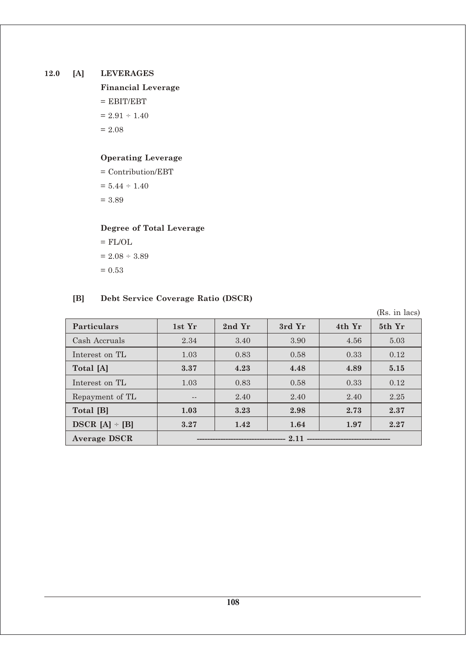## **12.0 [A] LEVERAGES**

**Financial Leverage**  $=$  EBIT/EBT  $= 2.91 \div 1.40$  $= 2.08$ 

# **Operating Leverage**

= Contribution/EBT  $= 5.44 \div 1.40$  $= 3.89$ 

# **Degree of Total Leverage**

 $=$  FL/OL  $= 2.08 \div 3.89$  $= 0.53$ 

# **[B] Debt Service Coverage Ratio (DSCR)**

(Rs. in lacs)

| <b>Particulars</b>  | 1st Yr | 2nd Yr | 3rd Yr | 4th Yr | 5th Yr |
|---------------------|--------|--------|--------|--------|--------|
| Cash Accruals       | 2.34   | 3.40   | 3.90   | 4.56   | 5.03   |
| Interest on TL      | 1.03   | 0.83   | 0.58   | 0.33   | 0.12   |
| Total [A]           | 3.37   | 4.23   | 4.48   | 4.89   | 5.15   |
| Interest on TL      | 1.03   | 0.83   | 0.58   | 0.33   | 0.12   |
| Repayment of TL     | $- -$  | 2.40   | 2.40   | 2.40   | 2.25   |
| Total [B]           | 1.03   | 3.23   | 2.98   | 2.73   | 2.37   |
| $DSCR [A] - [B]$    | 3.27   | 1.42   | 1.64   | 1.97   | 2.27   |
| <b>Average DSCR</b> |        |        |        |        |        |